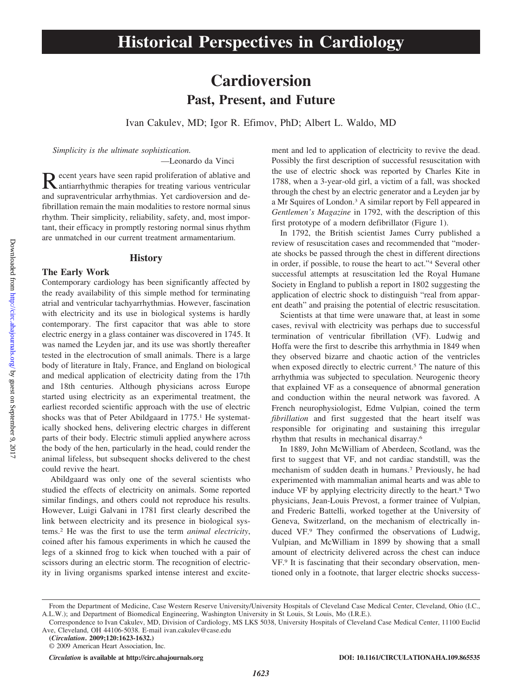## **Cardioversion Past, Present, and Future**

Ivan Cakulev, MD; Igor R. Efimov, PhD; Albert L. Waldo, MD

*Simplicity is the ultimate sophistication.*

—Leonardo da Vinci

Recent years have seen rapid proliferation of ablative and<br>antiarrhythmic therapies for treating various ventricular and supraventricular arrhythmias. Yet cardioversion and defibrillation remain the main modalities to restore normal sinus rhythm. Their simplicity, reliability, safety, and, most important, their efficacy in promptly restoring normal sinus rhythm are unmatched in our current treatment armamentarium.

#### **History**

#### **The Early Work**

Contemporary cardiology has been significantly affected by the ready availability of this simple method for terminating atrial and ventricular tachyarrhythmias. However, fascination with electricity and its use in biological systems is hardly contemporary. The first capacitor that was able to store electric energy in a glass container was discovered in 1745. It was named the Leyden jar, and its use was shortly thereafter tested in the electrocution of small animals. There is a large body of literature in Italy, France, and England on biological and medical application of electricity dating from the 17th and 18th centuries. Although physicians across Europe started using electricity as an experimental treatment, the earliest recorded scientific approach with the use of electric shocks was that of Peter Abildgaard in 1775.<sup>1</sup> He systematically shocked hens, delivering electric charges in different parts of their body. Electric stimuli applied anywhere across the body of the hen, particularly in the head, could render the animal lifeless, but subsequent shocks delivered to the chest could revive the heart.

Abildgaard was only one of the several scientists who studied the effects of electricity on animals. Some reported similar findings, and others could not reproduce his results. However, Luigi Galvani in 1781 first clearly described the link between electricity and its presence in biological systems.2 He was the first to use the term *animal electricity*, coined after his famous experiments in which he caused the legs of a skinned frog to kick when touched with a pair of scissors during an electric storm. The recognition of electricity in living organisms sparked intense interest and excitement and led to application of electricity to revive the dead. Possibly the first description of successful resuscitation with the use of electric shock was reported by Charles Kite in 1788, when a 3-year-old girl, a victim of a fall, was shocked through the chest by an electric generator and a Leyden jar by a Mr Squires of London.3 A similar report by Fell appeared in *Gentlemen's Magazine* in 1792, with the description of this first prototype of a modern defibrillator (Figure 1).

In 1792, the British scientist James Curry published a review of resuscitation cases and recommended that "moderate shocks be passed through the chest in different directions in order, if possible, to rouse the heart to act."4 Several other successful attempts at resuscitation led the Royal Humane Society in England to publish a report in 1802 suggesting the application of electric shock to distinguish "real from apparent death" and praising the potential of electric resuscitation.

Scientists at that time were unaware that, at least in some cases, revival with electricity was perhaps due to successful termination of ventricular fibrillation (VF). Ludwig and Hoffa were the first to describe this arrhythmia in 1849 when they observed bizarre and chaotic action of the ventricles when exposed directly to electric current.<sup>5</sup> The nature of this arrhythmia was subjected to speculation. Neurogenic theory that explained VF as a consequence of abnormal generation and conduction within the neural network was favored. A French neurophysiologist, Edme Vulpian, coined the term *fibrillation* and first suggested that the heart itself was responsible for originating and sustaining this irregular rhythm that results in mechanical disarray.6

In 1889, John McWilliam of Aberdeen, Scotland, was the first to suggest that VF, and not cardiac standstill, was the mechanism of sudden death in humans.7 Previously, he had experimented with mammalian animal hearts and was able to induce VF by applying electricity directly to the heart.8 Two physicians, Jean-Louis Prevost, a former trainee of Vulpian, and Frederic Battelli, worked together at the University of Geneva, Switzerland, on the mechanism of electrically induced VF.9 They confirmed the observations of Ludwig, Vulpian, and McWilliam in 1899 by showing that a small amount of electricity delivered across the chest can induce VF.9 It is fascinating that their secondary observation, mentioned only in a footnote, that larger electric shocks success-

**(***Circulation***. 2009;120:1623-1632.)**

From the Department of Medicine, Case Western Reserve University/University Hospitals of Cleveland Case Medical Center, Cleveland, Ohio (I.C., A.L.W.); and Department of Biomedical Engineering, Washington University in St Louis, St Louis, Mo (I.R.E.).

Correspondence to Ivan Cakulev, MD, Division of Cardiology, MS LKS 5038, University Hospitals of Cleveland Case Medical Center, 11100 Euclid Ave, Cleveland, OH 44106-5038. E-mail ivan.cakulev@case.edu

<sup>© 2009</sup> American Heart Association, Inc.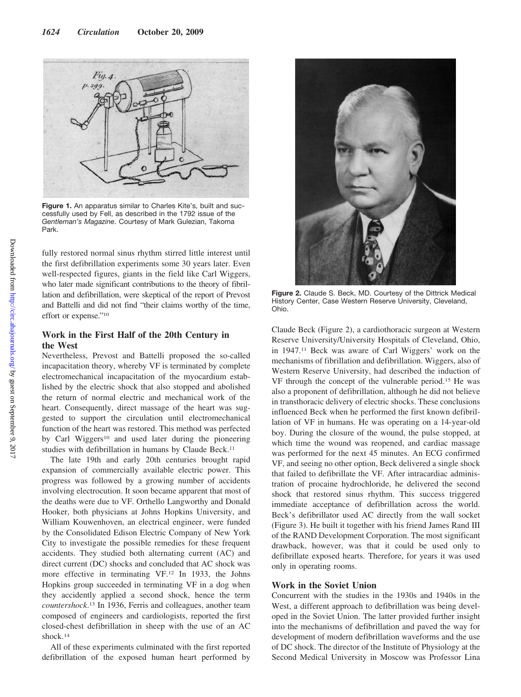

**Figure 1.** An apparatus similar to Charles Kite's, built and successfully used by Fell, as described in the 1792 issue of the *Gentleman's Magazine*. Courtesy of Mark Gulezian, Takoma Park.

fully restored normal sinus rhythm stirred little interest until the first defibrillation experiments some 30 years later. Even well-respected figures, giants in the field like Carl Wiggers, who later made significant contributions to the theory of fibrillation and defibrillation, were skeptical of the report of Prevost and Battelli and did not find "their claims worthy of the time, effort or expense."10

#### **Work in the First Half of the 20th Century in the West**

Nevertheless, Prevost and Battelli proposed the so-called incapacitation theory, whereby VF is terminated by complete electromechanical incapacitation of the myocardium established by the electric shock that also stopped and abolished the return of normal electric and mechanical work of the heart. Consequently, direct massage of the heart was suggested to support the circulation until electromechanical function of the heart was restored. This method was perfected by Carl Wiggers<sup>10</sup> and used later during the pioneering studies with defibrillation in humans by Claude Beck.<sup>11</sup>

The late 19th and early 20th centuries brought rapid expansion of commercially available electric power. This progress was followed by a growing number of accidents involving electrocution. It soon became apparent that most of the deaths were due to VF. Orthello Langworthy and Donald Hooker, both physicians at Johns Hopkins University, and William Kouwenhoven, an electrical engineer, were funded by the Consolidated Edison Electric Company of New York City to investigate the possible remedies for these frequent accidents. They studied both alternating current (AC) and direct current (DC) shocks and concluded that AC shock was more effective in terminating VF.12 In 1933, the Johns Hopkins group succeeded in terminating VF in a dog when they accidently applied a second shock, hence the term *countershock*. <sup>13</sup> In 1936, Ferris and colleagues, another team composed of engineers and cardiologists, reported the first closed-chest defibrillation in sheep with the use of an AC shock.14

All of these experiments culminated with the first reported defibrillation of the exposed human heart performed by



**Figure 2.** Claude S. Beck, MD. Courtesy of the Dittrick Medical History Center, Case Western Reserve University, Cleveland, Ohio.

Claude Beck (Figure 2), a cardiothoracic surgeon at Western Reserve University/University Hospitals of Cleveland, Ohio, in 1947.11 Beck was aware of Carl Wiggers' work on the mechanisms of fibrillation and defibrillation. Wiggers, also of Western Reserve University, had described the induction of VF through the concept of the vulnerable period.15 He was also a proponent of defibrillation, although he did not believe in transthoracic delivery of electric shocks. These conclusions influenced Beck when he performed the first known defibrillation of VF in humans. He was operating on a 14-year-old boy. During the closure of the wound, the pulse stopped, at which time the wound was reopened, and cardiac massage was performed for the next 45 minutes. An ECG confirmed VF, and seeing no other option, Beck delivered a single shock that failed to defibrillate the VF. After intracardiac administration of procaine hydrochloride, he delivered the second shock that restored sinus rhythm. This success triggered immediate acceptance of defibrillation across the world. Beck's defibrillator used AC directly from the wall socket (Figure 3). He built it together with his friend James Rand III of the RAND Development Corporation. The most significant drawback, however, was that it could be used only to defibrillate exposed hearts. Therefore, for years it was used only in operating rooms.

#### **Work in the Soviet Union**

Concurrent with the studies in the 1930s and 1940s in the West, a different approach to defibrillation was being developed in the Soviet Union. The latter provided further insight into the mechanisms of defibrillation and paved the way for development of modern defibrillation waveforms and the use of DC shock. The director of the Institute of Physiology at the Second Medical University in Moscow was Professor Lina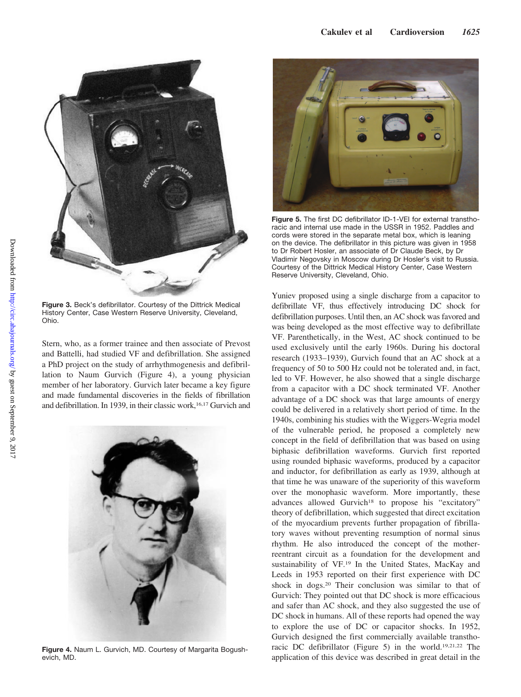

**Figure 3.** Beck's defibrillator. Courtesy of the Dittrick Medical History Center, Case Western Reserve University, Cleveland, Ohio.

Stern, who, as a former trainee and then associate of Prevost and Battelli, had studied VF and defibrillation. She assigned a PhD project on the study of arrhythmogenesis and defibrillation to Naum Gurvich (Figure 4), a young physician member of her laboratory. Gurvich later became a key figure and made fundamental discoveries in the fields of fibrillation and defibrillation. In 1939, in their classic work,<sup>16,17</sup> Gurvich and



**Figure 4.** Naum L. Gurvich, MD. Courtesy of Margarita Bogushevich, MD.



**Figure 5.** The first DC defibrillator ID-1-VEI for external transthoracic and internal use made in the USSR in 1952. Paddles and cords were stored in the separate metal box, which is leaning on the device. The defibrillator in this picture was given in 1958 to Dr Robert Hosler, an associate of Dr Claude Beck, by Dr Vladimir Negovsky in Moscow during Dr Hosler's visit to Russia. Courtesy of the Dittrick Medical History Center, Case Western Reserve University, Cleveland, Ohio.

Yuniev proposed using a single discharge from a capacitor to defibrillate VF, thus effectively introducing DC shock for defibrillation purposes. Until then, an AC shock was favored and was being developed as the most effective way to defibrillate VF. Parenthetically, in the West, AC shock continued to be used exclusively until the early 1960s. During his doctoral research (1933–1939), Gurvich found that an AC shock at a frequency of 50 to 500 Hz could not be tolerated and, in fact, led to VF. However, he also showed that a single discharge from a capacitor with a DC shock terminated VF. Another advantage of a DC shock was that large amounts of energy could be delivered in a relatively short period of time. In the 1940s, combining his studies with the Wiggers-Wegria model of the vulnerable period, he proposed a completely new concept in the field of defibrillation that was based on using biphasic defibrillation waveforms. Gurvich first reported using rounded biphasic waveforms, produced by a capacitor and inductor, for defibrillation as early as 1939, although at that time he was unaware of the superiority of this waveform over the monophasic waveform. More importantly, these advances allowed Gurvich<sup>18</sup> to propose his "excitatory" theory of defibrillation, which suggested that direct excitation of the myocardium prevents further propagation of fibrillatory waves without preventing resumption of normal sinus rhythm. He also introduced the concept of the motherreentrant circuit as a foundation for the development and sustainability of VF.19 In the United States, MacKay and Leeds in 1953 reported on their first experience with DC shock in dogs.20 Their conclusion was similar to that of Gurvich: They pointed out that DC shock is more efficacious and safer than AC shock, and they also suggested the use of DC shock in humans. All of these reports had opened the way to explore the use of DC or capacitor shocks. In 1952, Gurvich designed the first commercially available transthoracic DC defibrillator (Figure 5) in the world.19,21,22 The application of this device was described in great detail in the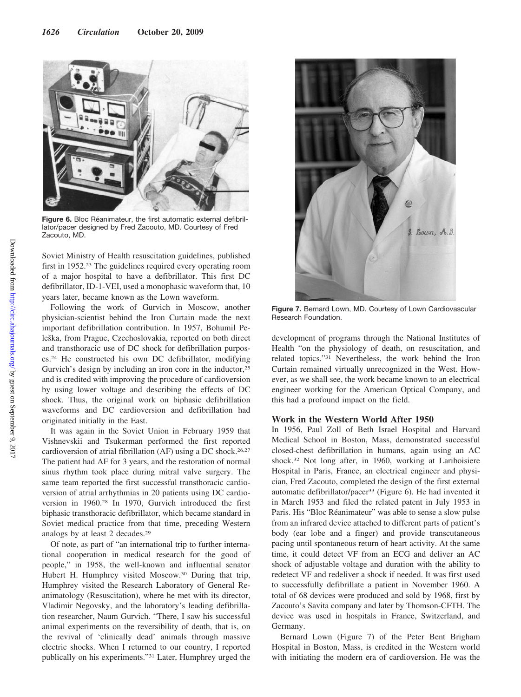

**Figure 6.** Bloc Réanimateur, the first automatic external defibrillator/pacer designed by Fred Zacouto, MD. Courtesy of Fred Zacouto, MD.

Soviet Ministry of Health resuscitation guidelines, published first in 1952.23 The guidelines required every operating room of a major hospital to have a defibrillator. This first DC defibrillator, ID-1-VEI, used a monophasic waveform that, 10 years later, became known as the Lown waveform.

Following the work of Gurvich in Moscow, another physician-scientist behind the Iron Curtain made the next important defibrillation contribution. In 1957, Bohumil Peleška, from Prague, Czechoslovakia, reported on both direct and transthoracic use of DC shock for defibrillation purposes.24 He constructed his own DC defibrillator, modifying Gurvich's design by including an iron core in the inductor, $25$ and is credited with improving the procedure of cardioversion by using lower voltage and describing the effects of DC shock. Thus, the original work on biphasic defibrillation waveforms and DC cardioversion and defibrillation had originated initially in the East.

It was again in the Soviet Union in February 1959 that Vishnevskii and Tsukerman performed the first reported cardioversion of atrial fibrillation (AF) using a DC shock.26,27 The patient had AF for 3 years, and the restoration of normal sinus rhythm took place during mitral valve surgery. The same team reported the first successful transthoracic cardioversion of atrial arrhythmias in 20 patients using DC cardioversion in 1960.28 In 1970, Gurvich introduced the first biphasic transthoracic defibrillator, which became standard in Soviet medical practice from that time, preceding Western analogs by at least 2 decades.29

Of note, as part of "an international trip to further international cooperation in medical research for the good of people," in 1958, the well-known and influential senator Hubert H. Humphrey visited Moscow.<sup>30</sup> During that trip, Humphrey visited the Research Laboratory of General Reanimatology (Resuscitation), where he met with its director, Vladimir Negovsky, and the laboratory's leading defibrillation researcher, Naum Gurvich. "There, I saw his successful animal experiments on the reversibility of death, that is, on the revival of 'clinically dead' animals through massive electric shocks. When I returned to our country, I reported publically on his experiments."31 Later, Humphrey urged the



**Figure 7.** Bernard Lown, MD. Courtesy of Lown Cardiovascular Research Foundation.

development of programs through the National Institutes of Health "on the physiology of death, on resuscitation, and related topics."31 Nevertheless, the work behind the Iron Curtain remained virtually unrecognized in the West. However, as we shall see, the work became known to an electrical engineer working for the American Optical Company, and this had a profound impact on the field.

#### **Work in the Western World After 1950**

In 1956, Paul Zoll of Beth Israel Hospital and Harvard Medical School in Boston, Mass, demonstrated successful closed-chest defibrillation in humans, again using an AC shock.32 Not long after, in 1960, working at Lariboisiere Hospital in Paris, France, an electrical engineer and physician, Fred Zacouto, completed the design of the first external automatic defibrillator/pacer33 (Figure 6). He had invented it in March 1953 and filed the related patent in July 1953 in Paris. His "Bloc Réanimateur" was able to sense a slow pulse from an infrared device attached to different parts of patient's body (ear lobe and a finger) and provide transcutaneous pacing until spontaneous return of heart activity. At the same time, it could detect VF from an ECG and deliver an AC shock of adjustable voltage and duration with the ability to redetect VF and redeliver a shock if needed. It was first used to successfully defibrillate a patient in November 1960. A total of 68 devices were produced and sold by 1968, first by Zacouto's Savita company and later by Thomson-CFTH. The device was used in hospitals in France, Switzerland, and Germany.

Bernard Lown (Figure 7) of the Peter Bent Brigham Hospital in Boston, Mass, is credited in the Western world with initiating the modern era of cardioversion. He was the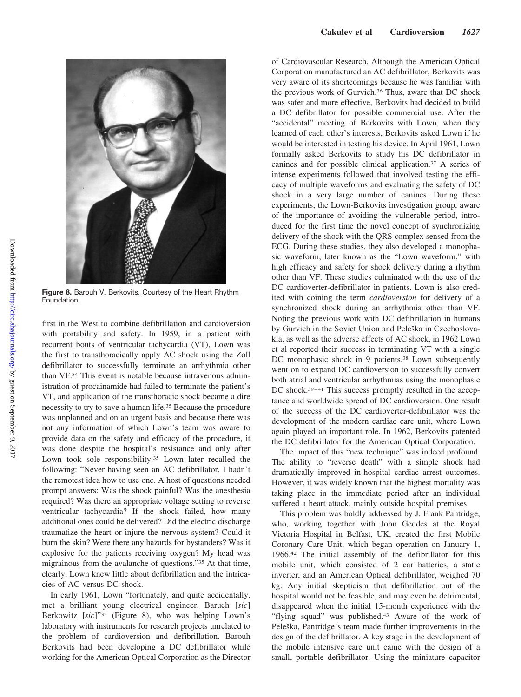

**Figure 8.** Barouh V. Berkovits. Courtesy of the Heart Rhythm Foundation.

first in the West to combine defibrillation and cardioversion with portability and safety. In 1959, in a patient with recurrent bouts of ventricular tachycardia (VT), Lown was the first to transthoracically apply AC shock using the Zoll defibrillator to successfully terminate an arrhythmia other than VF.34 This event is notable because intravenous administration of procainamide had failed to terminate the patient's VT, and application of the transthoracic shock became a dire necessity to try to save a human life.35 Because the procedure was unplanned and on an urgent basis and because there was not any information of which Lown's team was aware to provide data on the safety and efficacy of the procedure, it was done despite the hospital's resistance and only after Lown took sole responsibility.<sup>35</sup> Lown later recalled the following: "Never having seen an AC defibrillator, I hadn't the remotest idea how to use one. A host of questions needed prompt answers: Was the shock painful? Was the anesthesia required? Was there an appropriate voltage setting to reverse ventricular tachycardia? If the shock failed, how many additional ones could be delivered? Did the electric discharge traumatize the heart or injure the nervous system? Could it burn the skin? Were there any hazards for bystanders? Was it explosive for the patients receiving oxygen? My head was migrainous from the avalanche of questions."35 At that time, clearly, Lown knew little about defibrillation and the intricacies of AC versus DC shock.

In early 1961, Lown "fortunately, and quite accidentally, met a brilliant young electrical engineer, Baruch [*sic*] Berkowitz [*sic*]"35 (Figure 8), who was helping Lown's laboratory with instruments for research projects unrelated to the problem of cardioversion and defibrillation. Barouh Berkovits had been developing a DC defibrillator while working for the American Optical Corporation as the Director of Cardiovascular Research. Although the American Optical Corporation manufactured an AC defibrillator, Berkovits was very aware of its shortcomings because he was familiar with the previous work of Gurvich.36 Thus, aware that DC shock was safer and more effective, Berkovits had decided to build a DC defibrillator for possible commercial use. After the "accidental" meeting of Berkovits with Lown, when they learned of each other's interests, Berkovits asked Lown if he would be interested in testing his device. In April 1961, Lown formally asked Berkovits to study his DC defibrillator in canines and for possible clinical application.37 A series of intense experiments followed that involved testing the efficacy of multiple waveforms and evaluating the safety of DC shock in a very large number of canines. During these experiments, the Lown-Berkovits investigation group, aware of the importance of avoiding the vulnerable period, introduced for the first time the novel concept of synchronizing delivery of the shock with the QRS complex sensed from the ECG. During these studies, they also developed a monophasic waveform, later known as the "Lown waveform," with high efficacy and safety for shock delivery during a rhythm other than VF. These studies culminated with the use of the DC cardioverter-defibrillator in patients. Lown is also credited with coining the term *cardioversion* for delivery of a synchronized shock during an arrhythmia other than VF. Noting the previous work with DC defibrillation in humans by Gurvich in the Soviet Union and Peleška in Czechoslovakia, as well as the adverse effects of AC shock, in 1962 Lown et al reported their success in terminating VT with a single DC monophasic shock in 9 patients.<sup>38</sup> Lown subsequently went on to expand DC cardioversion to successfully convert both atrial and ventricular arrhythmias using the monophasic DC shock.<sup>39-41</sup> This success promptly resulted in the acceptance and worldwide spread of DC cardioversion. One result of the success of the DC cardioverter-defibrillator was the development of the modern cardiac care unit, where Lown again played an important role. In 1962, Berkovits patented the DC defibrillator for the American Optical Corporation.

The impact of this "new technique" was indeed profound. The ability to "reverse death" with a simple shock had dramatically improved in-hospital cardiac arrest outcomes. However, it was widely known that the highest mortality was taking place in the immediate period after an individual suffered a heart attack, mainly outside hospital premises.

This problem was boldly addressed by J. Frank Pantridge, who, working together with John Geddes at the Royal Victoria Hospital in Belfast, UK, created the first Mobile Coronary Care Unit, which began operation on January 1, 1966.42 The initial assembly of the defibrillator for this mobile unit, which consisted of 2 car batteries, a static inverter, and an American Optical defibrillator, weighed 70 kg. Any initial skepticism that defibrillation out of the hospital would not be feasible, and may even be detrimental, disappeared when the initial 15-month experience with the "flying squad" was published.<sup>43</sup> Aware of the work of Peleška, Pantridge's team made further improvements in the design of the defibrillator. A key stage in the development of the mobile intensive care unit came with the design of a small, portable defibrillator. Using the miniature capacitor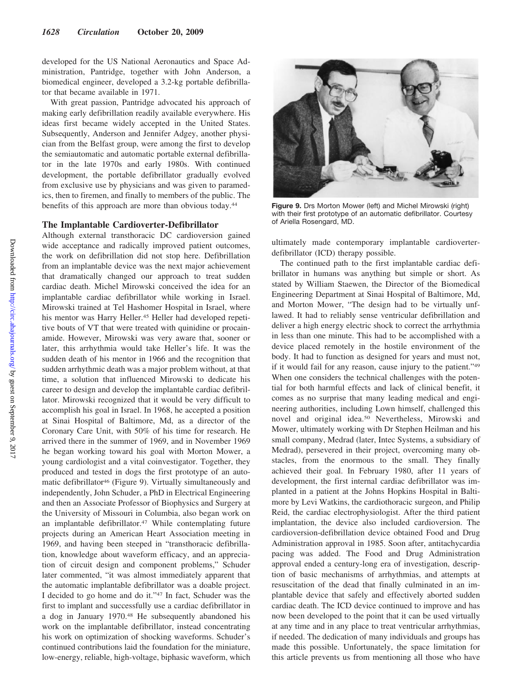developed for the US National Aeronautics and Space Administration, Pantridge, together with John Anderson, a biomedical engineer, developed a 3.2-kg portable defibrillator that became available in 1971.

With great passion, Pantridge advocated his approach of making early defibrillation readily available everywhere. His ideas first became widely accepted in the United States. Subsequently, Anderson and Jennifer Adgey, another physician from the Belfast group, were among the first to develop the semiautomatic and automatic portable external defibrillator in the late 1970s and early 1980s. With continued development, the portable defibrillator gradually evolved from exclusive use by physicians and was given to paramedics, then to firemen, and finally to members of the public. The benefits of this approach are more than obvious today.44

#### **The Implantable Cardioverter-Defibrillator**

Although external transthoracic DC cardioversion gained wide acceptance and radically improved patient outcomes, the work on defibrillation did not stop here. Defibrillation from an implantable device was the next major achievement that dramatically changed our approach to treat sudden cardiac death. Michel Mirowski conceived the idea for an implantable cardiac defibrillator while working in Israel. Mirowski trained at Tel Hashomer Hospital in Israel, where his mentor was Harry Heller.<sup>45</sup> Heller had developed repetitive bouts of VT that were treated with quinidine or procainamide. However, Mirowski was very aware that, sooner or later, this arrhythmia would take Heller's life. It was the sudden death of his mentor in 1966 and the recognition that sudden arrhythmic death was a major problem without, at that time, a solution that influenced Mirowski to dedicate his career to design and develop the implantable cardiac defibrillator. Mirowski recognized that it would be very difficult to accomplish his goal in Israel. In 1968, he accepted a position at Sinai Hospital of Baltimore, Md, as a director of the Coronary Care Unit, with 50% of his time for research. He arrived there in the summer of 1969, and in November 1969 he began working toward his goal with Morton Mower, a young cardiologist and a vital coinvestigator. Together, they produced and tested in dogs the first prototype of an automatic defibrillator<sup>46</sup> (Figure 9). Virtually simultaneously and independently, John Schuder, a PhD in Electrical Engineering and then an Associate Professor of Biophysics and Surgery at the University of Missouri in Columbia, also began work on an implantable defibrillator.47 While contemplating future projects during an American Heart Association meeting in 1969, and having been steeped in "transthoracic defibrillation, knowledge about waveform efficacy, and an appreciation of circuit design and component problems," Schuder later commented, "it was almost immediately apparent that the automatic implantable defibrillator was a doable project. I decided to go home and do it."47 In fact, Schuder was the first to implant and successfully use a cardiac defibrillator in a dog in January 1970.48 He subsequently abandoned his work on the implantable defibrillator, instead concentrating his work on optimization of shocking waveforms. Schuder's continued contributions laid the foundation for the miniature, low-energy, reliable, high-voltage, biphasic waveform, which



**Figure 9.** Drs Morton Mower (left) and Michel Mirowski (right) with their first prototype of an automatic defibrillator. Courtesy of Ariella Rosengard, MD.

ultimately made contemporary implantable cardioverterdefibrillator (ICD) therapy possible.

The continued path to the first implantable cardiac defibrillator in humans was anything but simple or short. As stated by William Staewen, the Director of the Biomedical Engineering Department at Sinai Hospital of Baltimore, Md, and Morton Mower, "The design had to be virtually unflawed. It had to reliably sense ventricular defibrillation and deliver a high energy electric shock to correct the arrhythmia in less than one minute. This had to be accomplished with a device placed remotely in the hostile environment of the body. It had to function as designed for years and must not, if it would fail for any reason, cause injury to the patient."49 When one considers the technical challenges with the potential for both harmful effects and lack of clinical benefit, it comes as no surprise that many leading medical and engineering authorities, including Lown himself, challenged this novel and original idea.50 Nevertheless, Mirowski and Mower, ultimately working with Dr Stephen Heilman and his small company, Medrad (later, Intec Systems, a subsidiary of Medrad), persevered in their project, overcoming many obstacles, from the enormous to the small. They finally achieved their goal. In February 1980, after 11 years of development, the first internal cardiac defibrillator was implanted in a patient at the Johns Hopkins Hospital in Baltimore by Levi Watkins, the cardiothoracic surgeon, and Philip Reid, the cardiac electrophysiologist. After the third patient implantation, the device also included cardioversion. The cardioversion-defibrillation device obtained Food and Drug Administration approval in 1985. Soon after, antitachycardia pacing was added. The Food and Drug Administration approval ended a century-long era of investigation, description of basic mechanisms of arrhythmias, and attempts at resuscitation of the dead that finally culminated in an implantable device that safely and effectively aborted sudden cardiac death. The ICD device continued to improve and has now been developed to the point that it can be used virtually at any time and in any place to treat ventricular arrhythmias, if needed. The dedication of many individuals and groups has made this possible. Unfortunately, the space limitation for this article prevents us from mentioning all those who have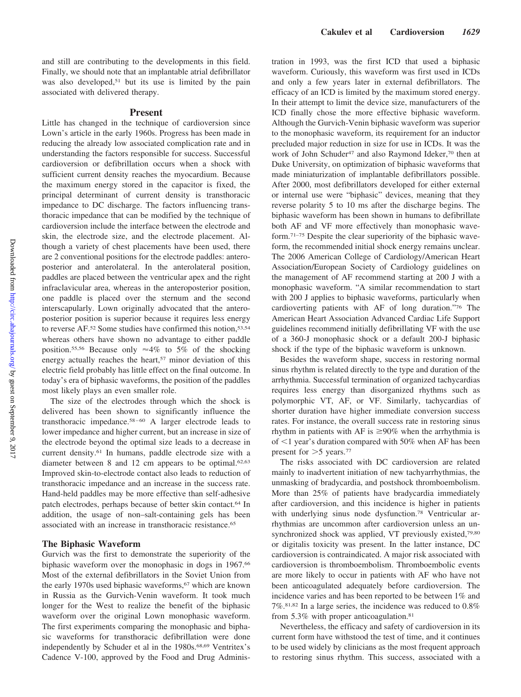#### **Present**

Little has changed in the technique of cardioversion since Lown's article in the early 1960s. Progress has been made in reducing the already low associated complication rate and in understanding the factors responsible for success. Successful cardioversion or defibrillation occurs when a shock with sufficient current density reaches the myocardium. Because the maximum energy stored in the capacitor is fixed, the principal determinant of current density is transthoracic impedance to DC discharge. The factors influencing transthoracic impedance that can be modified by the technique of cardioversion include the interface between the electrode and skin, the electrode size, and the electrode placement. Although a variety of chest placements have been used, there are 2 conventional positions for the electrode paddles: anteroposterior and anterolateral. In the anterolateral position, paddles are placed between the ventricular apex and the right infraclavicular area, whereas in the anteroposterior position, one paddle is placed over the sternum and the second interscapularly. Lown originally advocated that the anteroposterior position is superior because it requires less energy to reverse AF.<sup>52</sup> Some studies have confirmed this notion,<sup>53,54</sup> whereas others have shown no advantage to either paddle position.<sup>55,56</sup> Because only  $\approx 4\%$  to 5% of the shocking energy actually reaches the heart,<sup>57</sup> minor deviation of this electric field probably has little effect on the final outcome. In today's era of biphasic waveforms, the position of the paddles most likely plays an even smaller role.

The size of the electrodes through which the shock is delivered has been shown to significantly influence the transthoracic impedance.<sup>58-60</sup> A larger electrode leads to lower impedance and higher current, but an increase in size of the electrode beyond the optimal size leads to a decrease in current density.61 In humans, paddle electrode size with a diameter between 8 and 12 cm appears to be optimal.<sup>62,63</sup> Improved skin-to-electrode contact also leads to reduction of transthoracic impedance and an increase in the success rate. Hand-held paddles may be more effective than self-adhesive patch electrodes, perhaps because of better skin contact.64 In addition, the usage of non–salt-containing gels has been associated with an increase in transthoracic resistance.65

#### **The Biphasic Waveform**

Gurvich was the first to demonstrate the superiority of the biphasic waveform over the monophasic in dogs in 1967.<sup>66</sup> Most of the external defibrillators in the Soviet Union from the early 1970s used biphasic waveforms,<sup>67</sup> which are known in Russia as the Gurvich-Venin waveform. It took much longer for the West to realize the benefit of the biphasic waveform over the original Lown monophasic waveform. The first experiments comparing the monophasic and biphasic waveforms for transthoracic defibrillation were done independently by Schuder et al in the 1980s.<sup>68,69</sup> Ventritex's Cadence V-100, approved by the Food and Drug Administration in 1993, was the first ICD that used a biphasic waveform. Curiously, this waveform was first used in ICDs and only a few years later in external defibrillators. The efficacy of an ICD is limited by the maximum stored energy. In their attempt to limit the device size, manufacturers of the ICD finally chose the more effective biphasic waveform. Although the Gurvich-Venin biphasic waveform was superior to the monophasic waveform, its requirement for an inductor precluded major reduction in size for use in ICDs. It was the work of John Schuder47 and also Raymond Ideker,70 then at Duke University, on optimization of biphasic waveforms that made miniaturization of implantable defibrillators possible. After 2000, most defibrillators developed for either external or internal use were "biphasic" devices, meaning that they reverse polarity 5 to 10 ms after the discharge begins. The biphasic waveform has been shown in humans to defibrillate both AF and VF more effectively than monophasic waveform.71–75 Despite the clear superiority of the biphasic waveform, the recommended initial shock energy remains unclear. The 2006 American College of Cardiology/American Heart Association/European Society of Cardiology guidelines on the management of AF recommend starting at 200 J with a monophasic waveform. "A similar recommendation to start with 200 J applies to biphasic waveforms, particularly when cardioverting patients with AF of long duration."76 The American Heart Association Advanced Cardiac Life Support guidelines recommend initially defibrillating VF with the use of a 360-J monophasic shock or a default 200-J biphasic shock if the type of the biphasic waveform is unknown.

Besides the waveform shape, success in restoring normal sinus rhythm is related directly to the type and duration of the arrhythmia. Successful termination of organized tachycardias requires less energy than disorganized rhythms such as polymorphic VT, AF, or VF. Similarly, tachycardias of shorter duration have higher immediate conversion success rates. For instance, the overall success rate in restoring sinus rhythm in patients with AF is  $\geq 90\%$  when the arrhythmia is of <1 year's duration compared with 50% when AF has been present for  $>5$  years.<sup>77</sup>

The risks associated with DC cardioversion are related mainly to inadvertent initiation of new tachyarrhythmias, the unmasking of bradycardia, and postshock thromboembolism. More than 25% of patients have bradycardia immediately after cardioversion, and this incidence is higher in patients with underlying sinus node dysfunction.<sup>78</sup> Ventricular arrhythmias are uncommon after cardioversion unless an unsynchronized shock was applied, VT previously existed,<sup>79,80</sup> or digitalis toxicity was present. In the latter instance, DC cardioversion is contraindicated. A major risk associated with cardioversion is thromboembolism. Thromboembolic events are more likely to occur in patients with AF who have not been anticoagulated adequately before cardioversion. The incidence varies and has been reported to be between 1% and 7%.81,82 In a large series, the incidence was reduced to 0.8% from 5.3% with proper anticoagulation.<sup>81</sup>

Nevertheless, the efficacy and safety of cardioversion in its current form have withstood the test of time, and it continues to be used widely by clinicians as the most frequent approach to restoring sinus rhythm. This success, associated with a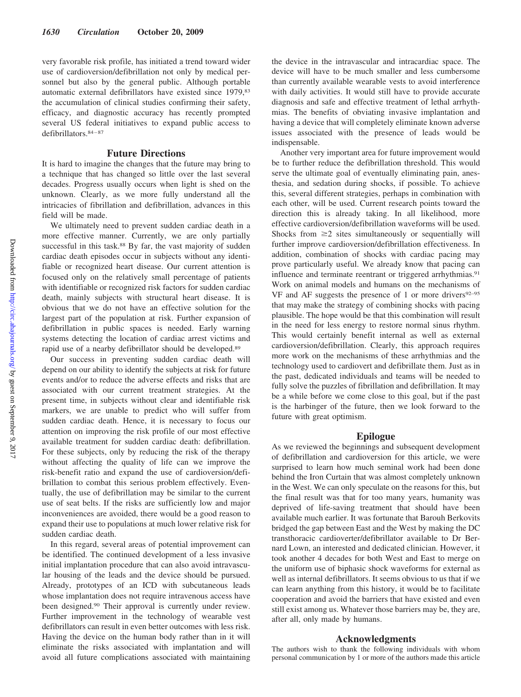very favorable risk profile, has initiated a trend toward wider use of cardioversion/defibrillation not only by medical personnel but also by the general public. Although portable automatic external defibrillators have existed since 1979,83 the accumulation of clinical studies confirming their safety, efficacy, and diagnostic accuracy has recently prompted several US federal initiatives to expand public access to defibrillators.84 – 87

#### **Future Directions**

It is hard to imagine the changes that the future may bring to a technique that has changed so little over the last several decades. Progress usually occurs when light is shed on the unknown. Clearly, as we more fully understand all the intricacies of fibrillation and defibrillation, advances in this field will be made.

We ultimately need to prevent sudden cardiac death in a more effective manner. Currently, we are only partially successful in this task.<sup>88</sup> By far, the vast majority of sudden cardiac death episodes occur in subjects without any identifiable or recognized heart disease. Our current attention is focused only on the relatively small percentage of patients with identifiable or recognized risk factors for sudden cardiac death, mainly subjects with structural heart disease. It is obvious that we do not have an effective solution for the largest part of the population at risk. Further expansion of defibrillation in public spaces is needed. Early warning systems detecting the location of cardiac arrest victims and rapid use of a nearby defibrillator should be developed.89

Our success in preventing sudden cardiac death will depend on our ability to identify the subjects at risk for future events and/or to reduce the adverse effects and risks that are associated with our current treatment strategies. At the present time, in subjects without clear and identifiable risk markers, we are unable to predict who will suffer from sudden cardiac death. Hence, it is necessary to focus our attention on improving the risk profile of our most effective available treatment for sudden cardiac death: defibrillation. For these subjects, only by reducing the risk of the therapy without affecting the quality of life can we improve the risk-benefit ratio and expand the use of cardioversion/defibrillation to combat this serious problem effectively. Eventually, the use of defibrillation may be similar to the current use of seat belts. If the risks are sufficiently low and major inconveniences are avoided, there would be a good reason to expand their use to populations at much lower relative risk for sudden cardiac death.

In this regard, several areas of potential improvement can be identified. The continued development of a less invasive initial implantation procedure that can also avoid intravascular housing of the leads and the device should be pursued. Already, prototypes of an ICD with subcutaneous leads whose implantation does not require intravenous access have been designed.90 Their approval is currently under review. Further improvement in the technology of wearable vest defibrillators can result in even better outcomes with less risk. Having the device on the human body rather than in it will eliminate the risks associated with implantation and will avoid all future complications associated with maintaining the device in the intravascular and intracardiac space. The device will have to be much smaller and less cumbersome than currently available wearable vests to avoid interference with daily activities. It would still have to provide accurate diagnosis and safe and effective treatment of lethal arrhythmias. The benefits of obviating invasive implantation and having a device that will completely eliminate known adverse issues associated with the presence of leads would be indispensable.

Another very important area for future improvement would be to further reduce the defibrillation threshold. This would serve the ultimate goal of eventually eliminating pain, anesthesia, and sedation during shocks, if possible. To achieve this, several different strategies, perhaps in combination with each other, will be used. Current research points toward the direction this is already taking. In all likelihood, more effective cardioversion/defibrillation waveforms will be used. Shocks from  $\geq$ 2 sites simultaneously or sequentially will further improve cardioversion/defibrillation effectiveness. In addition, combination of shocks with cardiac pacing may prove particularly useful. We already know that pacing can influence and terminate reentrant or triggered arrhythmias.<sup>91</sup> Work on animal models and humans on the mechanisms of VF and AF suggests the presence of 1 or more drivers92–95 that may make the strategy of combining shocks with pacing plausible. The hope would be that this combination will result in the need for less energy to restore normal sinus rhythm. This would certainly benefit internal as well as external cardioversion/defibrillation. Clearly, this approach requires more work on the mechanisms of these arrhythmias and the technology used to cardiovert and defibrillate them. Just as in the past, dedicated individuals and teams will be needed to fully solve the puzzles of fibrillation and defibrillation. It may be a while before we come close to this goal, but if the past is the harbinger of the future, then we look forward to the future with great optimism.

#### **Epilogue**

As we reviewed the beginnings and subsequent development of defibrillation and cardioversion for this article, we were surprised to learn how much seminal work had been done behind the Iron Curtain that was almost completely unknown in the West. We can only speculate on the reasons for this, but the final result was that for too many years, humanity was deprived of life-saving treatment that should have been available much earlier. It was fortunate that Barouh Berkovits bridged the gap between East and the West by making the DC transthoracic cardioverter/defibrillator available to Dr Bernard Lown, an interested and dedicated clinician. However, it took another 4 decades for both West and East to merge on the uniform use of biphasic shock waveforms for external as well as internal defibrillators. It seems obvious to us that if we can learn anything from this history, it would be to facilitate cooperation and avoid the barriers that have existed and even still exist among us. Whatever those barriers may be, they are, after all, only made by humans.

#### **Acknowledgments**

The authors wish to thank the following individuals with whom personal communication by 1 or more of the authors made this article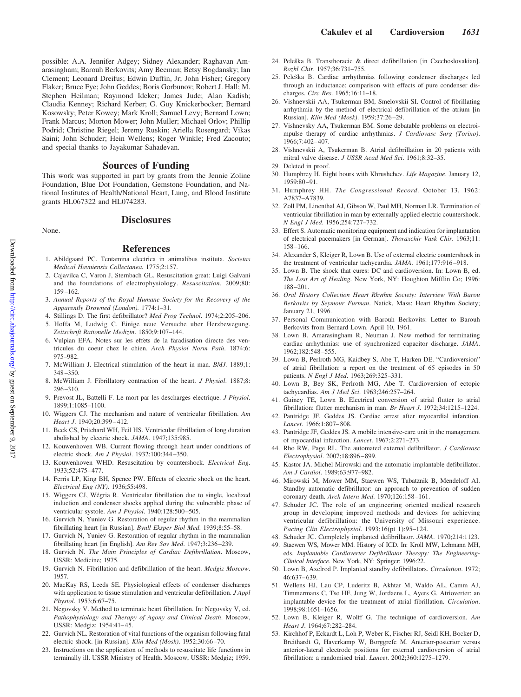possible: A.A. Jennifer Adgey; Sidney Alexander; Raghavan Amarasingham; Barouh Berkovits; Amy Beeman; Betsy Bogdansky; Ian Clement; Leonard Dreifus; Edwin Duffin, Jr; John Fisher; Gregory Flaker; Bruce Fye; John Geddes; Boris Gorbunov; Robert J. Hall; M. Stephen Heilman; Raymond Ideker; James Jude; Alan Kadish; Claudia Kenney; Richard Kerber; G. Guy Knickerbocker; Bernard Kosowsky; Peter Kowey; Mark Kroll; Samuel Levy; Bernard Lown; Frank Marcus; Morton Mower; John Muller; Michael Orlov; Phillip Podrid; Christine Riegel; Jeremy Ruskin; Ariella Rosengard; Vikas Saini; John Schuder; Hein Wellens; Roger Winkle; Fred Zacouto; and special thanks to Jayakumar Sahadevan.

#### **Sources of Funding**

This work was supported in part by grants from the Jennie Zoline Foundation, Blue Dot Foundation, Gemstone Foundation, and National Institutes of Health/National Heart, Lung, and Blood Institute grants HL067322 and HL074283.

None.

# **Disclosures**

### **References**

- 1. Abildgaard PC. Tentamina electrica in animalibus instituta. *Societas Medical Havniensis Collectanea.* 1775;2:157.
- 2. Cajavilca C, Varon J, Sternbach GL. Resuscitation great: Luigi Galvani and the foundations of electrophysiology. *Resuscitation*. 2009;80: 159 –162.
- 3. *Annual Reports of the Royal Humane Society for the Recovery of the Apparently Drowned (London).* 1774:1–31.
- 4. Stillings D. The first defibrillator? *Med Prog Technol*. 1974;2:205–206.
- 5. Hoffa M, Ludwig C. Einige neue Versuche uber Herzbewegung. *Zeitschrift Rationelle Medizin*. 1850;9:107–144.
- 6. Vulpian EFA. Notes sur les effets de la faradisation directe des ventricules du coeur chez le chien. *Arch Physiol Norm Path*. 1874;6: 975–982.
- 7. McWilliam J. Electrical stimulation of the heart in man. *BMJ.* 1889;1: 348 –350.
- 8. McWilliam J. Fibrillatory contraction of the heart. *J Physiol*. 1887;8: 296 –310.
- 9. Prevost JL, Battelli F. Le mort par les descharges electrique. *J Physiol*. 1899;1:1085–1100.
- 10. Wiggers CJ. The mechanism and nature of ventricular fibrillation. *Am Heart J*. 1940;20:399 – 412.
- 11. Beck CS, Pritchard WH, Feil HS. Ventricular fibrillation of long duration abolished by electric shock. *JAMA*. 1947;135:985.
- 12. Kouwenhoven WB. Current flowing through heart under conditions of electric shock. *Am J Physiol*. 1932;100:344 –350.
- 13. Kouwenhoven WHD. Resuscitation by countershock. *Electrical Eng*. 1933;52:475– 477.
- 14. Ferris LP, King BH, Spence PW. Effects of electric shock on the heart. *Electrical Eng (NY)*. 1936;55:498.
- 15. Wiggers CJ, Wégria R. Ventricular fibrillation due to single, localized induction and condenser shocks applied during the vulnerable phase of ventricular systole. *Am J Physiol*. 1940;128:500 –505.
- 16. Gurvich N, Yuniev G. Restoration of regular rhythm in the mammalian fibrillating heart [in Russian]. *Byull Eksper Biol Med*. 1939;8:55–58.
- 17. Gurvich N, Yuniev G. Restoration of regular rhythm in the mammalian fibrillating heart [in English]. *Am Rev Sov Med*. 1947;3:236 –239.
- 18. Gurvich N. *The Main Principles of Cardiac Defibrillation*. Moscow, USSR: Medicine; 1975.
- 19. Gurvich N. Fibrillation and defibrillation of the heart. *Medgiz Moscow*. 1957.
- 20. MacKay RS, Leeds SE. Physiological effects of condenser discharges with application to tissue stimulation and ventricular defibrillation. *J Appl Physiol*. 1953;6:67–75.
- 21. Negovsky V. Method to terminate heart fibrillation. In: Negovsky V, ed. *Pathophysiology and Therapy of Agony and Clinical Death*. Moscow, USSR: Medgiz; 1954:41– 45.
- 22. Gurvich NL. Restoration of vital functions of the organism following fatal electric shock. [in Russian]. *Klin Med (Mosk)*. 1952;30:66 –70.
- 23. Instructions on the application of methods to resuscitate life functions in terminally ill. USSR Ministry of Health. Moscow, USSR: Medgiz; 1959.
- 24. Peleška B. Transthoracic & direct defibrillation [in Czechoslovakian]. *Rozhl Chir*. 1957;36:731–755.
- 25. Peleška B. Cardiac arrhythmias following condenser discharges led through an inductance: comparison with effects of pure condenser discharges. *Circ Res*. 1965;16:11–18.
- 26. Vishnevskii AA, Tsukerman BM, Smelovskii SI. Control of fibrillating arrhythmia by the method of electrical defibrillation of the atrium [in Russian]. *Klin Med (Mosk)*. 1959;37:26 –29.
- 27. Vishnevsky AA, Tsukerman BM. Some debatable problems on electroimpulse therapy of cardiac arrhythmias. *J Cardiovasc Surg (Torino)*. 1966;7:402– 407.
- 28. Vishnevskii A, Tsukerman B. Atrial defibrillation in 20 patients with mitral valve disease. *J USSR Acad Med Sci*. 1961;8:32–35.
- 29. Deleted in proof.
- 30. Humphrey H. Eight hours with Khrushchev. *Life Magazine*. January 12,  $1959.80 - 91$
- 31. Humphrey HH. *The Congressional Record*. October 13, 1962: A7837–A7839.
- 32. Zoll PM, Linenthal AJ, Gibson W, Paul MH, Norman LR. Termination of ventricular fibrillation in man by externally applied electric countershock. *N Engl J Med*. 1956;254:727–732.
- 33. Effert S. Automatic monitoring equipment and indication for implantation of electrical pacemakers [in German]. *Thoraxchir Vask Chir*. 1963;11: 158 –166.
- 34. Alexander S, Kleiger R, Lown B. Use of external electric countershock in the treatment of ventricular tachycardia. *JAMA*. 1961;177:916 –918.
- 35. Lown B. The shock that cures: DC and cardioversion. In: Lown B, ed. *The Lost Art of Healing*. New York, NY: Houghton Mifflin Co; 1996: 188 –201.
- 36. *Oral History Collection Heart Rhythm Society: Interview With Barou Berkovits by Seymour Furman*. Natick, Mass; Heart Rhythm Society; January 21, 1996.
- 37. Personal Communication with Barouh Berkovits: Letter to Barouh Berkovits from Bernard Lown. April 10, 1961.
- 38. Lown B, Amarasingham R, Neuman J. New method for terminating cardiac arrhythmias: use of synchronized capacitor discharge. *JAMA*. 1962;182:548 –555.
- 39. Lown B, Perlroth MG, Kaidbey S, Abe T, Harken DE. "Cardioversion" of atrial fibrillation: a report on the treatment of 65 episodes in 50 patients. *N Engl J Med*. 1963;269:325–331.
- 40. Lown B, Bey SK, Perlroth MG, Abe T. Cardioversion of ectopic tachycardias. *Am J Med Sci*. 1963;246:257–264.
- 41. Guiney TE, Lown B. Electrical conversion of atrial flutter to atrial fibrillation: flutter mechanism in man. *Br Heart J*. 1972;34:1215–1224.
- 42. Pantridge JF, Geddes JS. Cardiac arrest after myocardial infarction. *Lancet*. 1966;1:807– 808.
- 43. Pantridge JF, Geddes JS. A mobile intensive-care unit in the management of myocardial infarction. *Lancet*. 1967;2:271–273.
- 44. Rho RW, Page RL. The automated external defibrillator. *J Cardiovasc Electrophysiol*. 2007;18:896 – 899.
- 45. Kastor JA. Michel Mirowski and the automatic implantable defibrillator. *Am J Cardiol*. 1989;63:977–982.
- 46. Mirowski M, Mower MM, Staewen WS, Tabatznik B, Mendeloff AI. Standby automatic defibrillator: an approach to prevention of sudden coronary death. *Arch Intern Med*. 1970;126:158 –161.
- 47. Schuder JC. The role of an engineering oriented medical research group in developing improved methods and devices for achieving ventricular defibrillation: the University of Missouri experience. *Pacing Clin Electrophysiol*. 1993;16(pt 1):95–124.
- 48. Schuder JC. Completely implanted defibrillator. *JAMA*. 1970;214:1123.
- 49. Staewen WS, Mower MM. History of ICD. In: Kroll MW, Lehmann MH, eds. *Implantable Cardioverter Defibrillator Therapy: The Engineering-Clinical Interface*. New York, NY: Springer; 1996:22.
- 50. Lown B, Axelrod P. Implanted standby defibrillators. *Circulation*. 1972; 46:637– 639.
- 51. Wellens HJ, Lau CP, Luderitz B, Akhtar M, Waldo AL, Camm AJ, Timmermans C, Tse HF, Jung W, Jordaens L, Ayers G. Atrioverter: an implantable device for the treatment of atrial fibrillation. *Circulation*. 1998;98:1651–1656.
- 52. Lown B, Kleiger R, Wolff G. The technique of cardioversion. *Am Heart J*. 1964;67:282–284.
- 53. Kirchhof P, Eckardt L, Loh P, Weber K, Fischer RJ, Seidl KH, Bocker D, Breithardt G, Haverkamp W, Borggrefe M. Anterior-posterior versus anterior-lateral electrode positions for external cardioversion of atrial fibrillation: a randomised trial. *Lancet*. 2002;360:1275–1279.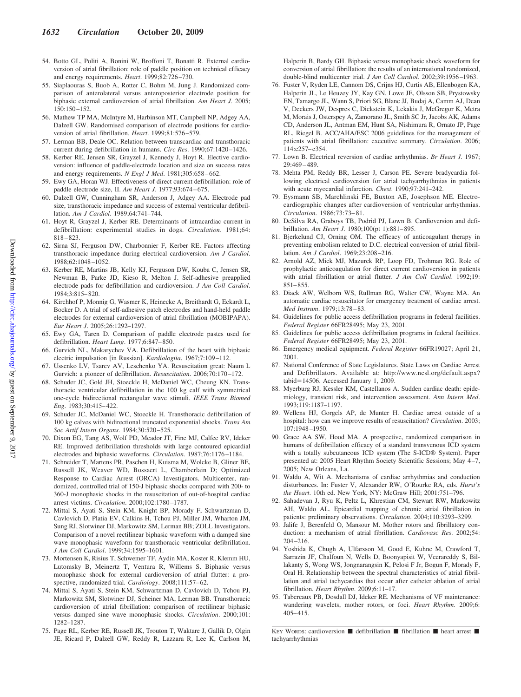- 54. Botto GL, Politi A, Bonini W, Broffoni T, Bonatti R. External cardioversion of atrial fibrillation: role of paddle position on technical efficacy and energy requirements. *Heart*. 1999;82:726 –730.
- 55. Siaplaouras S, Buob A, Rotter C, Bohm M, Jung J. Randomized comparison of anterolateral versus anteroposterior electrode position for biphasic external cardioversion of atrial fibrillation. *Am Heart J*. 2005; 150:150 –152.
- 56. Mathew TP MA, McIntyre M, Harbinson MT, Campbell NP, Adgey AA, Dalzell GW. Randomised comparison of electrode positions for cardioversion of atrial fibrillation. *Heart*. 1999;81:576 –579.
- 57. Lerman BB, Deale OC. Relation between transcardiac and transthoracic current during defibrillation in humans. *Circ Res*. 1990;67:1420 –1426.
- 58. Kerber RE, Jensen SR, Grayzel J, Kennedy J, Hoyt R. Elective cardioversion: influence of paddle-electrode location and size on success rates and energy requirements. *N Engl J Med*. 1981;305:658-662.
- 59. Ewy GA, Horan WJ. Effectiveness of direct current defibrillation: role of paddle electrode size, II. *Am Heart J*. 1977;93:674 – 675.
- 60. Dalzell GW, Cunningham SR, Anderson J, Adgey AA. Electrode pad size, transthoracic impedance and success of external ventricular defibrillation. *Am J Cardiol*. 1989;64:741–744.
- 61. Hoyt R, Grayzel J, Kerber RE. Determinants of intracardiac current in defibrillation: experimental studies in dogs. *Circulation*. 1981;64: 818 – 823.
- 62. Sirna SJ, Ferguson DW, Charbonnier F, Kerber RE. Factors affecting transthoracic impedance during electrical cardioversion. *Am J Cardiol*. 1988;62:1048 –1052.
- 63. Kerber RE, Martins JB, Kelly KJ, Ferguson DW, Kouba C, Jensen SR, Newman B, Parke JD, Kieso R, Melton J. Self-adhesive preapplied electrode pads for defibrillation and cardioversion. *J Am Coll Cardiol*. 1984;3:815– 820.
- 64. Kirchhof P, Monnig G, Wasmer K, Heinecke A, Breithardt G, Eckardt L, Bocker D. A trial of self-adhesive patch electrodes and hand-held paddle electrodes for external cardioversion of atrial fibrillation (MOBIPAPA). *Eur Heart J*. 2005;26:1292–1297.
- 65. Ewy GA, Taren D. Comparison of paddle electrode pastes used for defibrillation. *Heart Lung*. 1977;6:847– 850.
- 66. Gurvich NL, Makarychev VA. Defibrillation of the heart with biphasic electric impulsation [in Russian]. *Kardiologiia*. 1967;7:109 –112.
- 67. Ussenko LV, Tsarev AV, Leschenko YA. Resuscitation great: Naum L Gurvich: a pioneer of defibrillation. *Resuscitation*. 2006;70:170 –172.
- 68. Schuder JC, Gold JH, Stoeckle H, McDaniel WC, Cheung KN. Transthoracic ventricular defibrillation in the 100 kg calf with symmetrical one-cycle bidirectional rectangular wave stimuli. *IEEE Trans Biomed Eng*. 1983;30:415– 422.
- 69. Schuder JC, McDaniel WC, Stoeckle H. Transthoracic defibrillation of 100 kg calves with bidirectional truncated exponential shocks. *Trans Am Soc Artif Intern Organs*. 1984;30:520 –525.
- 70. Dixon EG, Tang AS, Wolf PD, Meador JT, Fine MJ, Calfee RV, Ideker RE. Improved defibrillation thresholds with large contoured epicardial electrodes and biphasic waveforms. *Circulation*. 1987;76:1176 –1184.
- 71. Schneider T, Martens PR, Paschen H, Kuisma M, Wolcke B, Gliner BE, Russell JK, Weaver WD, Bossaert L, Chamberlain D; Optimized Response to Cardiac Arrest (ORCA) Investigators. Multicenter, randomized, controlled trial of 150-J biphasic shocks compared with 200- to 360-J monophasic shocks in the resuscitation of out-of-hospital cardiac arrest victims. *Circulation*. 2000;102:1780 –1787.
- 72. Mittal S, Ayati S, Stein KM, Knight BP, Morady F, Schwartzman D, Cavlovich D, Platia EV, Calkins H, Tchou PJ, Miller JM, Wharton JM, Sung RJ, Slotwiner DJ, Markowitz SM, Lerman BB; ZOLL Investigators. Comparison of a novel rectilinear biphasic waveform with a damped sine wave monophasic waveform for transthoracic ventricular defibrillation. *J Am Coll Cardiol*. 1999;34:1595–1601.
- 73. Mortensen K, Risius T, Schwemer TF, Aydin MA, Koster R, Klemm HU, Lutomsky B, Meinertz T, Ventura R, Willems S. Biphasic versus monophasic shock for external cardioversion of atrial flutter: a prospective, randomized trial. *Cardiology*. 2008;111:57-62.
- 74. Mittal S, Ayati S, Stein KM, Schwartzman D, Cavlovich D, Tchou PJ, Markowitz SM, Slotwiner DJ, Scheiner MA, Lerman BB. Transthoracic cardioversion of atrial fibrillation: comparison of rectilinear biphasic versus damped sine wave monophasic shocks. *Circulation*. 2000;101: 1282–1287.
- 75. Page RL, Kerber RE, Russell JK, Trouton T, Waktare J, Gallik D, Olgin JE, Ricard P, Dalzell GW, Reddy R, Lazzara R, Lee K, Carlson M,

Halperin B, Bardy GH. Biphasic versus monophasic shock waveform for conversion of atrial fibrillation: the results of an international randomized, double-blind multicenter trial. *J Am Coll Cardiol*. 2002;39:1956 –1963.

- 76. Fuster V, Ryden LE, Cannom DS, Crijns HJ, Curtis AB, Ellenbogen KA, Halperin JL, Le Heuzey JY, Kay GN, Lowe JE, Olsson SB, Prystowsky EN, Tamargo JL, Wann S, Priori SG, Blanc JJ, Budaj A, Camm AJ, Dean V, Deckers JW, Despres C, Dickstein K, Lekakis J, McGregor K, Metra M, Morais J, Osterspey A, Zamorano JL, Smith SC Jr, Jacobs AK, Adams CD, Anderson JL, Antman EM, Hunt SA, Nishimura R, Ornato JP, Page RL, Riegel B. ACC/AHA/ESC 2006 guidelines for the management of patients with atrial fibrillation: executive summary. *Circulation*. 2006; 114:e257–e354.
- 77. Lown B. Electrical reversion of cardiac arrhythmias. *Br Heart J*. 1967; 29:469 – 489.
- 78. Mehta PM, Reddy BR, Lesser J, Carson PE. Severe bradycardia following electrical cardioversion for atrial tachyarrhythmias in patients with acute myocardial infarction. *Chest*. 1990;97:241–242.
- 79. Eysmann SB, Marchlinski FE, Buxton AE, Josephson ME. Electrocardiographic changes after cardioversion of ventricular arrhythmias. *Circulation*. 1986;73:73– 81.
- 80. DeSilva RA, Graboys TB, Podrid PJ, Lown B. Cardioversion and defibrillation. *Am Heart J*. 1980;100(pt 1):881– 895.
- 81. Bjerkelund CJ, Orning OM. The efficacy of anticoagulant therapy in preventing embolism related to D.C. electrical conversion of atrial fibrillation. *Am J Cardiol*. 1969;23:208 –216.
- 82. Arnold AZ, Mick MJ, Mazurek RP, Loop FD, Trohman RG. Role of prophylactic anticoagulation for direct current cardioversion in patients with atrial fibrillation or atrial flutter. *J Am Coll Cardiol*. 1992;19:  $851 - 855.$
- 83. Diack AW, Welborn WS, Rullman RG, Walter CW, Wayne MA. An automatic cardiac resuscitator for emergency treatment of cardiac arrest. *Med Instrum*. 1979;13:78 – 83.
- 84. Guidelines for public access defibrillation programs in federal facilities. *Federal Register* 66FR28495; May 23, 2001.
- 85. Guidelines for public access defibrillation programs in federal facilities. *Federal Register* 66FR28495; May 23, 2001.
- 86. Emergency medical equipment. *Federal Register* 66FR19027; April 21, 2001.
- 87. National Conference of State Legislatures. State Laws on Cardiac Arrest and Defibrillators. Available at: http://www.ncsl.org/default.aspx?  $tabid=14506. Accessed January 1, 2009.$
- 88. Myerburg RJ, Kessler KM, Castellanos A. Sudden cardiac death: epidemiology, transient risk, and intervention assessment. *Ann Intern Med*. 1993;119:1187–1197.
- 89. Wellens HJ, Gorgels AP, de Munter H. Cardiac arrest outside of a hospital: how can we improve results of resuscitation? *Circulation*. 2003; 107:1948 –1950.
- 90. Grace AA SW, Hood MA. A prospective, randomized comparison in humans of defibrillation efficacy of a standard transvenous ICD system with a totally subcutaneous ICD system (The S-ICD® System). Paper presented at: 2005 Heart Rhythm Society Scientific Sessions; May 4 –7, 2005; New Orleans, La.
- 91. Waldo A, Wit A. Mechanisms of cardiac arrhythmias and conduction disturbances. In: Fuster V, Alexander RW, O'Rourke RA, eds. *Hurst's the Heart*. 10th ed. New York, NY: McGraw Hill; 2001:751–796.
- 92. Sahadevan J, Ryu K, Peltz L, Khrestian CM, Stewart RW, Markowitz AH, Waldo AL. Epicardial mapping of chronic atrial fibrillation in patients: preliminary observations. *Circulation*. 2004;110:3293–3299.
- 93. Jalife J, Berenfeld O, Mansour M. Mother rotors and fibrillatory conduction: a mechanism of atrial fibrillation. *Cardiovasc Res*. 2002;54: 204 –216.
- 94. Yoshida K, Chugh A, Ulfarsson M, Good E, Kuhne M, Crawford T, Sarrazin JF, Chalfoun N, Wells D, Boonyapisit W, Veerareddy S, Billakanty S, Wong WS, Jongnarangsin K, Pelosi F Jr, Bogun F, Morady F, Oral H. Relationship between the spectral characteristics of atrial fibrillation and atrial tachycardias that occur after catheter ablation of atrial fibrillation. *Heart Rhythm*. 2009;6:11–17.
- 95. Tabereaux PB, Dosdall DJ, Ideker RE. Mechanisms of VF maintenance: wandering wavelets, mother rotors, or foci. *Heart Rhythm*. 2009;6: 405– 415.

KEY WORDS: cardioversion  $\blacksquare$  defibrillation  $\blacksquare$  fibrillation  $\blacksquare$  heart arrest  $\blacksquare$ tachyarrhythmias